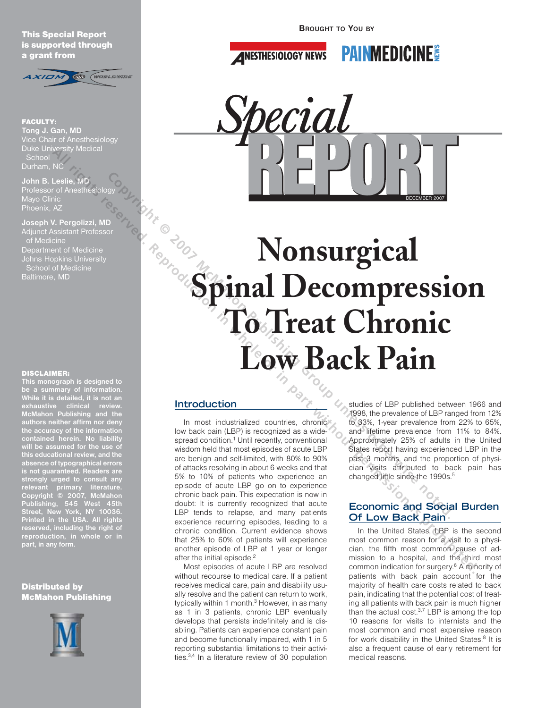This Special Report is supported through a grant from



FACULTY: **Tong J. Gan, MD**  Vice Chair of Anesthesiology Duke University Medical **School** Durham, NC

**John B. Leslie, MD**  Professor of Anesthesiology Mayo Clinic Phoenix, AZ

**Joseph V. Pergolizzi, MD** Adjunct Assistant Professor of Medicine Department of Medicine School of Medicine

#### DISCLAIMER:

**This monograph is designed to be a summary of information. While it is detailed, it is not an McMahon Publishing and the authors neither affirm nor deny the accuracy of the information contained herein. No liability will be assumed for the use of this educational review, and the absence of typographical errors is not guaranteed. Readers are strongly urged to consult any relevant primary literature. Copyright © 2007, McMahon Publishing, 545 West 45th Street, New York, NY 10036. Printed in the USA. All rights reserved, including the right of reproduction, in whole or in part, in any form.**

## **Distributed by** McMahon Publishing



**BROUGHT TO YOU BY**

**ANESTHESIOLOGY NEWS** 





# **Nonsurgical Spinal Decompression To Treat Chronic Low Back Pain** John B. Lexiis, MD<br>
Mond Christian Hotels (May Detection Christian Hotels Christian Hotels Christian Hotels (May Detection Christian Hotels Christian Hotels Christian Hotels (May Detection Christian Hotels Christian Hotels All rights reserved. **All rights reserved. Reproduction** in the server of the computer of the computer of the computer of the computer of the computer of the computer of the computer of the computer of the computer of th

# **Introduction**

In most industrialized countries, chronic low back pain (LBP) is recognized as a widespread condition.<sup>1</sup> Until recently, conventional wisdom held that most episodes of acute LBP are benign and self-limited, with 80% to 90% of attacks resolving in about 6 weeks and that 5% to 10% of patients who experience an episode of acute LBP go on to experience chronic back pain. This expectation is now in doubt: It is currently recognized that acute LBP tends to relapse, and many patients experience recurring episodes, leading to a chronic condition. Current evidence shows that 25% to 60% of patients will experience another episode of LBP at 1 year or longer after the initial episode.<sup>2</sup>

Most episodes of acute LBP are resolved without recourse to medical care. If a patient receives medical care, pain and disability usually resolve and the patient can return to work, typically within 1 month.<sup>3</sup> However, in as many as 1 in 3 patients, chronic LBP eventually develops that persists indefinitely and is disabling. Patients can experience constant pain and become functionally impaired, with 1 in 5 reporting substantial limitations to their activities.3,4 In a literature review of 30 population

studies of LBP published between 1966 and 1998, the prevalence of LBP ranged from 12% to 33%, 1-year prevalence from 22% to 65%, and lifetime prevalence from 11% to 84%. Approximately 25% of adults in the United States report having experienced LBP in the past 3 months, and the proportion of physician visits attributed to back pain has changed little since the 1990s.<sup>5</sup>

# **Economic and Social Burden Of Low Back Pain**

In the United States, LBP is the second most common reason for a visit to a physician, the fifth most common cause of admission to a hospital, and the third most common indication for surgery.6 A minority of patients with back pain account for the majority of health care costs related to back pain, indicating that the potential cost of treating all patients with back pain is much higher than the actual cost.3,7 LBP is among the top 10 reasons for visits to internists and the most common and most expensive reason for work disability in the United States.<sup>8</sup> It is also a frequent cause of early retirement for medical reasons.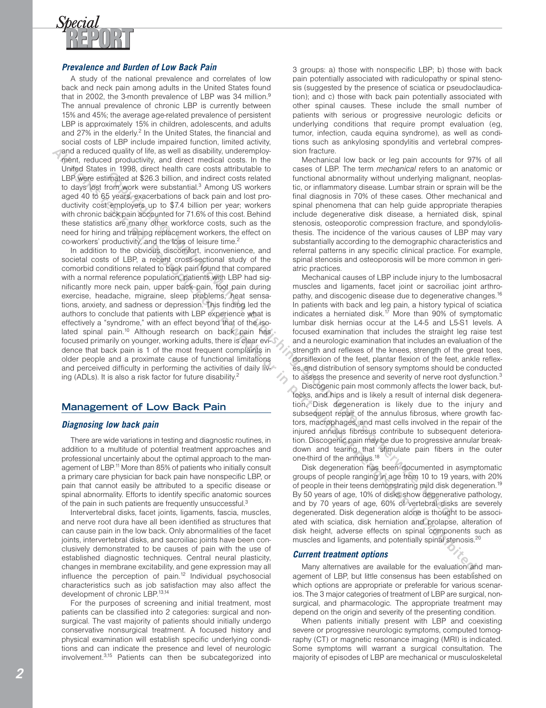

## **Prevalence and Burden of Low Back Pain**

A study of the national prevalence and correlates of low back and neck pain among adults in the United States found that in 2002, the 3-month prevalence of LBP was 34 million.<sup>9</sup> The annual prevalence of chronic LBP is currently between 15% and 45%; the average age-related prevalence of persistent LBP is approximately 15% in children, adolescents, and adults and 27% in the elderly.<sup>2</sup> In the United States, the financial and social costs of LBP include impaired function, limited activity, and a reduced quality of life, as well as disability, underemployment, reduced productivity, and direct medical costs. In the United States in 1998, direct health care costs attributable to LBP were estimated at \$26.3 billion, and indirect costs related to days lost from work were substantial.<sup>3</sup> Among US workers aged 40 to 65 years, exacerbations of back pain and lost productivity cost employers up to \$7.4 billion per year; workers with chronic back pain accounted for 71.6% of this cost. Behind these statistics are many other workforce costs, such as the need for hiring and training replacement workers, the effect on co-workers' productivity, and the loss of leisure time.2

In addition to the obvious discomfort, inconvenience, and societal costs of LBP, a recent cross-sectional study of the comorbid conditions related to back pain found that compared with a normal reference population, patients with LBP had significantly more neck pain, upper back pain, foot pain during exercise, headache, migraine, sleep problems, heat sensations, anxiety, and sadness or depression. This finding led the authors to conclude that patients with LBP experience what is effectively a "syndrome," with an effect beyond that of the isolated spinal pain.<sup>10</sup> Although research on back pain has focused primarily on younger, working adults, there is clear evidence that back pain is 1 of the most frequent complaints in older people and a proximate cause of functional limitations and perceived difficulty in performing the activities of daily living (ADLs). It is also a risk factor for future disability.<sup>2</sup> maled at \$260 bitling, and indiced costs related that includes a state is the content of the syses, search as the syses, search as the syses, search and the syses, search and the content of the syses, search and the system and a rocket and sole of the state of the state of the state of the state of the state of the state of the state of the state of the state of the state of the state of the state of the state of the state of the state of th

# **Management of Low Back Pain**

## **Diagnosing low back pain**

There are wide variations in testing and diagnostic routines, in addition to a multitude of potential treatment approaches and professional uncertainly about the optimal approach to the management of LBP.11 More than 85% of patients who initially consult a primary care physician for back pain have nonspecific LBP, or pain that cannot easily be attributed to a specific disease or spinal abnormality. Efforts to identify specific anatomic sources of the pain in such patients are frequently unsuccessful.3

Intervertebral disks, facet joints, ligaments, fascia, muscles, and nerve root dura have all been identified as structures that can cause pain in the low back. Only abnormalities of the facet joints, intervertebral disks, and sacroiliac joints have been conclusively demonstrated to be causes of pain with the use of established diagnostic techniques. Central neural plasticity, changes in membrane excitability, and gene expression may all influence the perception of pain.<sup>12</sup> Individual psychosocial characteristics such as job satisfaction may also affect the development of chronic LBP.13,14

For the purposes of screening and initial treatment, most patients can be classified into 2 categories: surgical and nonsurgical. The vast majority of patients should initially undergo conservative nonsurgical treatment. A focused history and physical examination will establish specific underlying conditions and can indicate the presence and level of neurologic involvement.3,15 Patients can then be subcategorized into 3 groups: a) those with nonspecific LBP; b) those with back pain potentially associated with radiculopathy or spinal stenosis (suggested by the presence of sciatica or pseudoclaudication); and c) those with back pain potentially associated with other spinal causes. These include the small number of patients with serious or progressive neurologic deficits or underlying conditions that require prompt evaluation (eg, tumor, infection, cauda equina syndrome), as well as conditions such as ankylosing spondylitis and vertebral compression fracture.

Mechanical low back or leg pain accounts for 97% of all cases of LBP. The term *mechanical* refers to an anatomic or functional abnormality without underlying malignant, neoplastic, or inflammatory disease. Lumbar strain or sprain will be the final diagnosis in 70% of these cases. Other mechanical and spinal phenomena that can help guide appropriate therapies include degenerative disk disease, a herniated disk, spinal stenosis, osteoporotic compression fracture, and spondylolisthesis. The incidence of the various causes of LBP may vary substantially according to the demographic characteristics and referral patterns in any specific clinical practice. For example, spinal stenosis and osteoporosis will be more common in geriatric practices.

Mechanical causes of LBP include injury to the lumbosacral muscles and ligaments, facet joint or sacroiliac joint arthropathy, and discogenic disease due to degenerative changes.<sup>16</sup> In patients with back and leg pain, a history typical of sciatica indicates a herniated disk.<sup>17</sup> More than 90% of symptomatic lumbar disk hernias occur at the L4-5 and L5-S1 levels. A focused examination that includes the straight leg raise test and a neurologic examination that includes an evaluation of the strength and reflexes of the knees, strength of the great toes, dorsiflexion of the feet, plantar flexion of the feet, ankle reflexes, and distribution of sensory symptoms should be conducted to assess the presence and severity of nerve root dysfunction.<sup>3</sup>

Discogenic pain most commonly affects the lower back, buttocks, and hips and is likely a result of internal disk degeneration. Disk degeneration is likely due to the injury and subsequent repair of the annulus fibrosus, where growth factors, macrophages, and mast cells involved in the repair of the injured annulus fibrosus contribute to subsequent deterioration. Discogenic pain may be due to progressive annular breakdown and tearing that stimulate pain fibers in the outer one-third of the annulus.<sup>18</sup>

Disk degeneration has been documented in asymptomatic groups of people ranging in age from 10 to 19 years, with 20% of people in their teens demonstrating mild disk degeneration.<sup>19</sup> By 50 years of age, 10% of disks show degenerative pathology, and by 70 years of age, 60% of vertebral disks are severely degenerated. Disk degeneration alone is thought to be associated with sciatica, disk herniation and prolapse, alteration of disk height, adverse effects on spinal components such as muscles and ligaments, and potentially spinal stenosis.<sup>20</sup>

## **Current treatment options**

Many alternatives are available for the evaluation and management of LBP, but little consensus has been established on which options are appropriate or preferable for various scenarios. The 3 major categories of treatment of LBP are surgical, nonsurgical, and pharmacologic. The appropriate treatment may depend on the origin and severity of the presenting condition.

When patients initially present with LBP and coexisting severe or progressive neurologic symptoms, computed tomography (CT) or magnetic resonance imaging (MRI) is indicated. Some symptoms will warrant a surgical consultation. The majority of episodes of LBP are mechanical or musculoskeletal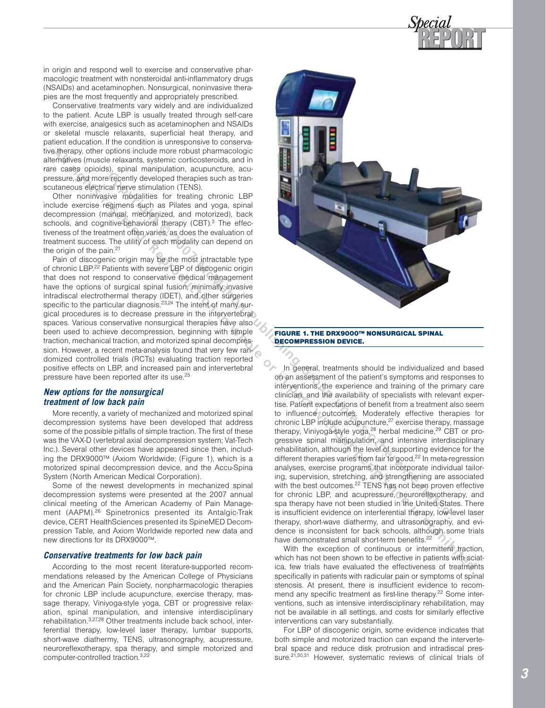

in origin and respond well to exercise and conservative pharmacologic treatment with nonsteroidal anti-inflammatory drugs (NSAIDs) and acetaminophen. Nonsurgical, noninvasive therapies are the most frequently and appropriately prescribed.

Conservative treatments vary widely and are individualized to the patient. Acute LBP is usually treated through self-care with exercise, analgesics such as acetaminophen and NSAIDs or skeletal muscle relaxants, superficial heat therapy, and patient education. If the condition is unresponsive to conservative therapy, other options include more robust pharmacologic alternatives (muscle relaxants, systemic corticosteroids, and in rare cases opioids), spinal manipulation, acupuncture, acupressure, and more recently developed therapies such as transcutaneous electrical nerve stimulation (TENS).

Other noninvasive modalities for treating chronic LBP include exercise regimens such as Pilates and yoga, spinal decompression (manual, mechanized, and motorized), back schools, and cognitive-behavioral therapy (CBT).<sup>3</sup> The effectiveness of the treatment often varies, as does the evaluation of treatment success. The utility of each modality can depend on the origin of the pain. $21$ 

Pain of discogenic origin may be the most intractable type of chronic LBP.<sup>22</sup> Patients with severe LBP of discogenic origin that does not respond to conservative medical management have the options of surgical spinal fusion, minimally invasive intradiscal electrothermal therapy (IDET), and other surgeries specific to the particular diagnosis.<sup>23,24</sup> The intent of many surgical procedures is to decrease pressure in the intervertebral spaces. Various conservative nonsurgical therapies have also been used to achieve decompression, beginning with simple traction, mechanical traction, and motorized spinal decompression. However, a recent meta-analysis found that very few randomized controlled trials (RCTs) evaluating traction reported positive effects on LBP, and increased pain and intervertebral pressure have been reported after its use.<sup>25</sup>

## **New options for the nonsurgical treatment of low back pain**

More recently, a variety of mechanized and motorized spinal decompression systems have been developed that address some of the possible pitfalls of simple traction. The first of these was the VAX-D (vertebral axial decompression system; Vat-Tech Inc.). Several other devices have appeared since then, including the DRX9000™ (Axiom Worldwide; (Figure 1), which is a motorized spinal decompression device, and the Accu-Spina System (North American Medical Corporation).

Some of the newest developments in mechanized spinal decompression systems were presented at the 2007 annual clinical meeting of the American Academy of Pain Management (AAPM).<sup>26</sup> Spinetronics presented its Antalgic-Trak device, CERT HealthSciences presented its SpineMED Decompression Table, and Axiom Worldwide reported new data and new directions for its DRX9000™.

#### **Conservative treatments for low back pain**

According to the most recent literature-supported recommendations released by the American College of Physicians and the American Pain Society, nonpharmacologic therapies for chronic LBP include acupuncture, exercise therapy, massage therapy, Viniyoga-style yoga, CBT or progressive relaxation, spinal manipulation, and intensive interdisciplinary rehabilitation.3,27,28 Other treatments include back school, interferential therapy, low-level laser therapy, lumbar supports, short-wave diathermy, TENS, ultrasonography, acupressure, neuroreflexotherapy, spa therapy, and simple motorized and computer-controlled traction.3,22



FIGURE 1. THE DRX9000™ NONSURGICAL SPINAL

In general, treatments should be individualized and based on an assessment of the patient's symptoms and responses to interventions, the experience and training of the primary care clinician, and the availability of specialists with relevant expertise. Patient expectations of benefit from a treatment also seem to influence outcomes. Moderately effective therapies for chronic LBP include acupuncture, $27$  exercise therapy, massage therapy, Viniyoga-style yoga,<sup>28</sup> herbal medicine,<sup>29</sup> CBT or progressive spinal manipulation, and intensive interdisciplinary rehabilitation, although the level of supporting evidence for the different therapies varies from fair to good.<sup>22</sup> In meta-regression analyses, exercise programs that incorporate individual tailoring, supervision, stretching, and strengthening are associated with the best outcomes.<sup>22</sup> TENS has not been proven effective for chronic LBP, and acupressure, neuroreflexotherapy, and spa therapy have not been studied in the United States. There is insufficient evidence on interferential therapy, low-level laser therapy, short-wave diathermy, and ultrasonography, and evidence is inconsistent for back schools, although some trials have demonstrated small short-term benefits.<sup>22</sup>

With the exception of continuous or intermittent traction, which has not been shown to be effective in patients with sciatica, few trials have evaluated the effectiveness of treatments specifically in patients with radicular pain or symptoms of spinal stenosis. At present, there is insufficient evidence to recommend any specific treatment as first-line therapy.<sup>22</sup> Some interventions, such as intensive interdisciplinary rehabilitation, may not be available in all settings, and costs for similarly effective interventions can vary substantially.

For LBP of discogenic origin, some evidence indicates that both simple and motorized traction can expand the intervertebral space and reduce disk protrusion and intradiscal pressure.<sup>21,30,31</sup> However, systematic reviews of clinical trials of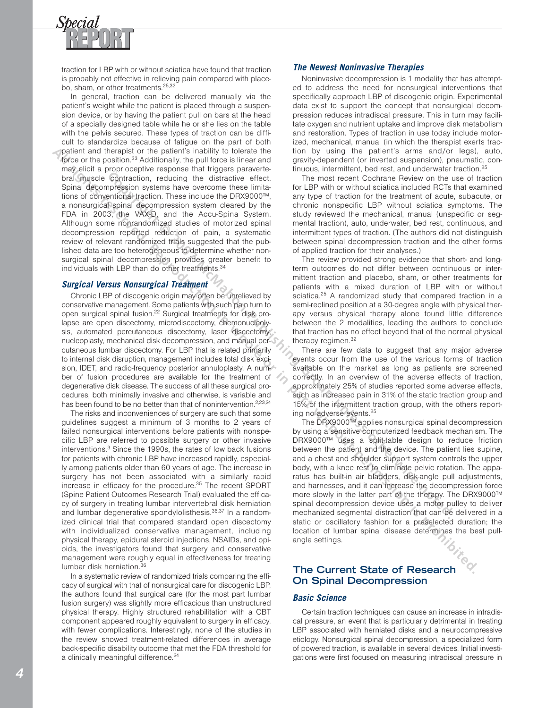

traction for LBP with or without sciatica have found that traction is probably not effective in relieving pain compared with placebo, sham, or other treatments.<sup>25,32</sup>

In general, traction can be delivered manually via the patient's weight while the patient is placed through a suspension device, or by having the patient pull on bars at the head of a specially designed table while he or she lies on the table with the pelvis secured. These types of traction can be difficult to standardize because of fatigue on the part of both patient and therapist or the patient's inability to tolerate the force or the position.<sup>33</sup> Additionally, the pull force is linear and may elicit a proprioceptive response that triggers paravertebral muscle contraction, reducing the distractive effect. Spinal decompression systems have overcome these limitations of conventional traction. These include the DRX9000™, a nonsurgical spinal decompression system cleared by the FDA in 2003, the VAX-D, and the Accu-Spina System. Although some nonrandomized studies of motorized spinal decompression reported reduction of pain, a systematic review of relevant randomized trials suggested that the published data are too heterogeneous to determine whether nonsurgical spinal decompression provides greater benefit to individuals with LBP than do other treatments.34

## **Surgical Versus Nonsurgical Treatment**

Chronic LBP of discogenic origin may often be unrelieved by conservative management. Some patients with such pain turn to open surgical spinal fusion.<sup>22</sup> Surgical treatments for disk prolapse are open discectomy, microdiscectomy, chemonucleolysis, automated percutaneous discectomy, laser discectomy, nucleoplasty, mechanical disk decompression, and manual percutaneous lumbar discectomy. For LBP that is related primarily to internal disk disruption, management includes total disk excision, IDET, and radio-frequency posterior annuloplasty. A number of fusion procedures are available for the treatment of degenerative disk disease. The success of all these surgical procedures, both minimally invasive and otherwise, is variable and has been found to be no better than that of nonintervention.<sup>2,23,24</sup> contraction, reducting the distance of the protocome, the most recent Cochrane Review on the interaction spectral control incrediction. These initials included RGTs and the AccordSpace are the interaction of an extra contr

The risks and inconveniences of surgery are such that some guidelines suggest a minimum of 3 months to 2 years of failed nonsurgical interventions before patients with nonspecific LBP are referred to possible surgery or other invasive interventions.3 Since the 1990s, the rates of low back fusions for patients with chronic LBP have increased rapidly, especially among patients older than 60 years of age. The increase in surgery has not been associated with a similarly rapid increase in efficacy for the procedure.<sup>35</sup> The recent SPORT (Spine Patient Outcomes Research Trial) evaluated the efficacy of surgery in treating lumbar intervertebral disk herniation and lumbar degenerative spondylolisthesis.<sup>36,37</sup> In a randomized clinical trial that compared standard open discectomy with individualized conservative management, including physical therapy, epidural steroid injections, NSAIDs, and opioids, the investigators found that surgery and conservative management were roughly equal in effectiveness for treating lumbar disk herniation.36 **All rights and the basis response to the all rights results of the all rights results of the all rights results results results results in the all rights results in the all rights results in the all rights results in the** 

In a systematic review of randomized trials comparing the efficacy of surgical with that of nonsurgical care for discogenic LBP, the authors found that surgical care (for the most part lumbar fusion surgery) was slightly more efficacious than unstructured physical therapy. Highly structured rehabilitation with a CBT component appeared roughly equivalent to surgery in efficacy, with fewer complications. Interestingly, none of the studies in the review showed treatment-related differences in average back-specific disability outcome that met the FDA threshold for a clinically meaningful difference.<sup>24</sup>

## **The Newest Noninvasive Therapies**

Noninvasive decompression is 1 modality that has attempted to address the need for nonsurgical interventions that specifically approach LBP of discogenic origin. Experimental data exist to support the concept that nonsurgical decompression reduces intradiscal pressure. This in turn may facilitate oxygen and nutrient uptake and improve disk metabolism and restoration. Types of traction in use today include motorized, mechanical, manual (in which the therapist exerts traction by using the patient's arms and/or legs), auto, gravity-dependent (or inverted suspension), pneumatic, continuous, intermittent, bed rest, and underwater traction.<sup>2</sup>

The most recent Cochrane Review on the use of traction for LBP with or without sciatica included RCTs that examined any type of traction for the treatment of acute, subacute, or chronic nonspecific LBP without sciatica symptoms. The study reviewed the mechanical, manual (unspecific or segmental traction), auto, underwater, bed rest, continuous, and intermittent types of traction. (The authors did not distinguish between spinal decompression traction and the other forms of applied traction for their analyses.)

The review provided strong evidence that short- and longterm outcomes do not differ between continuous or intermittent traction and placebo, sham, or other treatments for patients with a mixed duration of LBP with or without sciatica.<sup>25</sup> A randomized study that compared traction in a semi-reclined position at a 30-degree angle with physical therapy versus physical therapy alone found little difference between the 2 modalities, leading the authors to conclude that traction has no effect beyond that of the normal physical therapy regimen.<sup>32</sup>

There are few data to suggest that any major adverse events occur from the use of the various forms of traction available on the market as long as patients are screened correctly. In an overview of the adverse effects of traction, approximately 25% of studies reported some adverse effects, such as increased pain in 31% of the static traction group and 15% of the intermittent traction group, with the others reporting no adverse events.25

The DRX9000™ applies nonsurgical spinal decompression by using a sensitive computerized feedback mechanism. The DRX9000™ uses a split-table design to reduce friction between the patient and the device. The patient lies supine, and a chest and shoulder support system controls the upper body, with a knee rest to eliminate pelvic rotation. The apparatus has built-in air bladders, disk-angle pull adjustments, and harnesses, and it can increase the decompression force more slowly in the latter part of the therapy. The DRX9000™ spinal decompression device uses a motor pulley to deliver mechanized segmental distraction that can be delivered in a static or oscillatory fashion for a preselected duration; the location of lumbar spinal disease determines the best pullangle settings.

# **The Current State of Research On Spinal Decompression**

## **Basic Science**

Certain traction techniques can cause an increase in intradiscal pressure, an event that is particularly detrimental in treating LBP associated with herniated disks and a neurocompressive etiology. Nonsurgical spinal decompression, a specialized form of powered traction, is available in several devices. Initial investigations were first focused on measuring intradiscal pressure in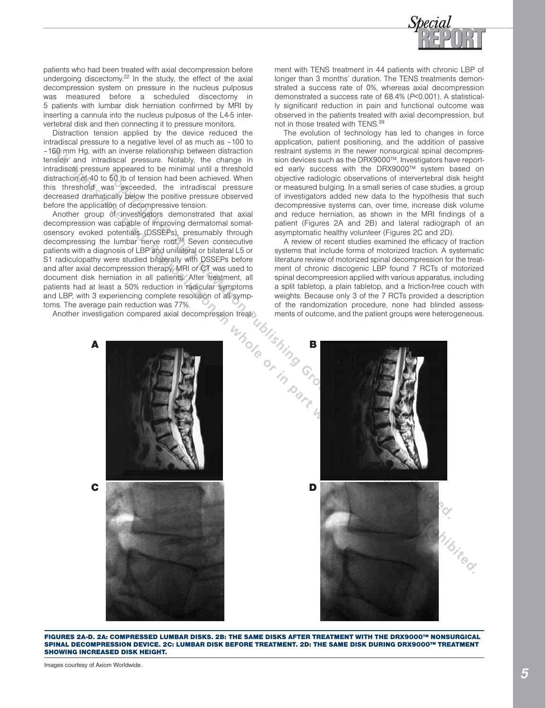

patients who had been treated with axial decompression before undergoing discectomy.<sup>22</sup> In the study, the effect of the axial decompression system on pressure in the nucleus pulposus was measured before a scheduled discectomy in 5 patients with lumbar disk herniation confirmed by MRI by inserting a cannula into the nucleus pulposus of the L4-5 intervertebral disk and then connecting it to pressure monitors.

Distraction tension applied by the device reduced the intradiscal pressure to a negative level of as much as –100 to –160 mm Hg, with an inverse relationship between distraction tension and intradiscal pressure. Notably, the change in intradiscal pressure appeared to be minimal until a threshold distraction of 40 to 50 lb of tension had been achieved. When this threshold was exceeded, the intradiscal pressure decreased dramatically below the positive pressure observed before the application of decompressive tension.

Another group of investigators demonstrated that axial decompression was capable of improving dermatomal somatosensory evoked potentials (DSSEPs), presumably through decompressing the lumbar nerve root.<sup>38</sup> Seven consecutive patients with a diagnosis of LBP and unilateral or bilateral L5 or S1 radiculopathy were studied bilaterally with DSSEPs before and after axial decompression therapy. MRI or CT was used to document disk herniation in all patients. After treatment, all patients had at least a 50% reduction in radicular symptoms and LBP, with 3 experiencing complete resolution of all symptoms. The average pain reduction was 77%.

Another investigation compared axial decompression treat-

ment with TENS treatment in 44 patients with chronic LBP of longer than 3 months' duration. The TENS treatments demonstrated a success rate of 0%, whereas axial decompression demonstrated a success rate of 68.4% (*P*<0.001). A statistically significant reduction in pain and functional outcome was observed in the patients treated with axial decompression, but not in those treated with TENS.<sup>39</sup>

The evolution of technology has led to changes in force application, patient positioning, and the addition of passive restraint systems in the newer nonsurgical spinal decompression devices such as the DRX9000™. Investigators have reported early success with the DRX9000™ system based on objective radiologic observations of intervertebral disk height or measured bulging. In a small series of case studies, a group of investigators added new data to the hypothesis that such decompressive systems can, over time, increase disk volume and reduce herniation, as shown in the MRI findings of a patient (Figures 2A and 2B) and lateral radiograph of an asymptomatic healthy volunteer (Figures 2C and 2D).

A review of recent studies examined the efficacy of traction systems that include forms of motorized traction. A systematic literature review of motorized spinal decompression for the treatment of chronic discogenic LBP found 7 RCTs of motorized spinal decompression applied with various apparatus, including a split tabletop, a plain tabletop, and a friction-free couch with weights. Because only 3 of the 7 RCTs provided a description of the randomization procedure, none had blinded assessments of outcome, and the patient groups were heterogeneous.



FIGURES 2A-D. 2A: COMPRESSED LUMBAR DISKS. 2B: THE SAME DISKS AFTER TREATMENT WITH THE DRX9000™ NONSURGICAL SPINAL DECOMPRESSION DEVICE. 2C: LUMBAR DISK BEFORE TREATMENT. 2D: THE SAME DISK DURING DRX9000™ TREATMENT SHOWING INCREASED DISK HEIGHT.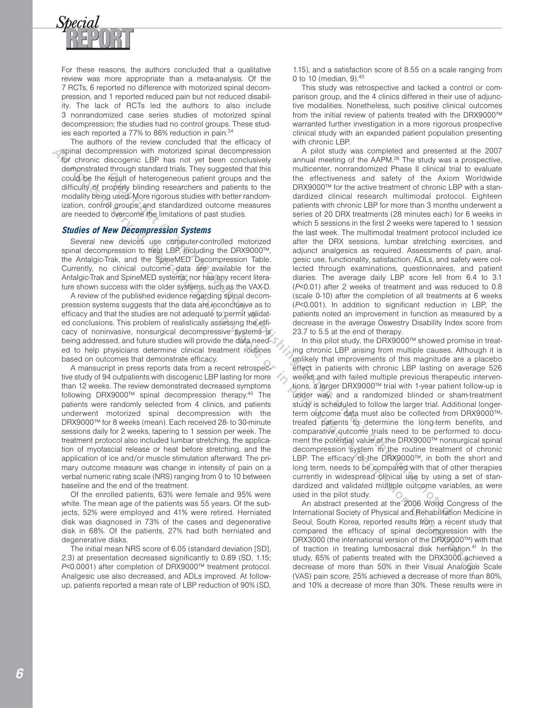

For these reasons, the authors concluded that a qualitative review was more appropriate than a meta-analysis. Of the 7 RCTs, 6 reported no difference with motorized spinal decompression, and 1 reported reduced pain but not reduced disability. The lack of RCTs led the authors to also include 3 nonrandomized case series studies of motorized spinal decompression; the studies had no control groups. These studies each reported a 77% to 86% reduction in pain.<sup>34</sup>

The authors of the review concluded that the efficacy of spinal decompression with motorized spinal decompression for chronic discogenic LBP has not yet been conclusively demonstrated through standard trials. They suggested that this could be the result of heterogeneous patient groups and the difficulty of properly blinding researchers and patients to the modality being used. More rigorous studies with better randomization, control groups, and standardized outcome measures are needed to overcome the limitations of past studies.

#### **Studies of New Decompression Systems**

Several new devices use computer-controlled motorized spinal decompression to treat LBP, including the DRX9000™, the Antalgic-Trak, and the SpineMED Decompression Table. Currently, no clinical outcome data are available for the Antalgic-Trak and SpineMED systems, nor has any recent literature shown success with the older systems, such as the VAX-D.

A review of the published evidence regarding spinal decompression systems suggests that the data are inconclusive as to efficacy and that the studies are not adequate to permit validated conclusions. This problem of realistically assessing the efficacy of noninvasive, nonsurgical decompressive systems is being addressed, and future studies will provide the data needed to help physicians determine clinical treatment routines based on outcomes that demonstrate efficacy.

A mansucript in press reports data from a recent retrospective study of 94 outpatients with discogenic LBP lasting for more than 12 weeks. The review demonstrated decreased symptoms following DRX9000™ spinal decompression therapy.40 The patients were randomly selected from 4 clinics, and patients underwent motorized spinal decompression with the DRX9000™ for 8 weeks (mean). Each received 28- to 30-minute sessions daily for 2 weeks, tapering to 1 session per week. The treatment protocol also included lumbar stretching, the application of myofascial release or heat before stretching, and the application of ice and/or muscle stimulation afterward. The primary outcome measure was change in intensity of pain on a verbal numeric rating scale (NRS) ranging from 0 to 10 between baseline and the end of the treatment.

Of the enrolled patients, 63% were female and 95% were white. The mean age of the patients was 55 years. Of the subjects, 52% were employed and 41% were retired. Herniated disk was diagnosed in 73% of the cases and degenerative disk in 68%. Of the patients, 27% had both herniated and degenerative disks.

The initial mean NRS score of 6.05 (standard deviation [SD], 2.3) at presentation decreased significantly to 0.89 (SD, 1.15; *P*<0.0001) after completion of DRX9000™ treatment protocol. Analgesic use also decreased, and ADLs improved. At followup, patients reported a mean rate of LBP reduction of 90% (SD,

1.15), and a satisfaction score of 8.55 on a scale ranging from 0 to 10 (median, 9).<sup>40</sup>

This study was retrospective and lacked a control or comparison group, and the 4 clinics differed in their use of adjunctive modalities. Nonetheless, such positive clinical outcomes from the initial review of patients treated with the DRX9000™ warranted further investigation in a more rigorous prospective clinical study with an expanded patient population presenting with chronic LBP.

A pilot study was completed and presented at the 2007 annual meeting of the AAPM.<sup>26</sup> The study was a prospective, multicenter, nonrandomized Phase II clinical trial to evaluate the effectiveness and safety of the Axiom Worldwide DRX9000™ for the active treatment of chronic LBP with a standardized clinical research multimodal protocol. Eighteen patients with chronic LBP for more than 3 months underwent a series of 20 DRX treatments (28 minutes each) for 6 weeks in which 5 sessions in the first 2 weeks were tapered to 1 session the last week. The multimodal treatment protocol included ice after the DRX sessions, lumbar stretching exercises, and adjunct analgesics as required. Assessments of pain, analgesic use, functionality, satisfaction, ADLs, and safety were collected through examinations, questionnaires, and patient diaries. The average daily LBP score fell from 6.4 to 3.1 (*P*<0.01) after 2 weeks of treatment and was reduced to 0.8 (scale 0-10) after the completion of all treatments at 6 weeks (*P*<0.001). In addition to significant reduction in LBP, the patients noted an improvement in function as measured by a decrease in the average Oswestry Disability Index score from 23.7 to 5.5 at the end of therapy. **Result of betroppendus paintimes and many and the methodic many and the activation of the activation of the activation of the activation of the activation of the activation of the activation of the activation of the activ All rights reserved. The most of the state of the state in the state or in the state of the state of the state of the state of the state of the state of the state of the state of the state of the state of the state of the** 

In this pilot study, the DRX9000™ showed promise in treating chronic LBP arising from multiple causes. Although it is unlikely that improvements of this magnitude are a placebo effect in patients with chronic LBP lasting on average 526 weeks and with failed multiple previous therapeutic interventions, a larger DRX9000™ trial with 1-year patient follow-up is under way, and a randomized blinded or sham-treatment study is scheduled to follow the larger trial. Additional longerterm outcome data must also be collected from DRX9000™ treated patients to determine the long-term benefits, and comparative outcome trials need to be performed to document the potential value of the DRX9000™ nonsurgical spinal decompression system in the routine treatment of chronic LBP. The efficacy of the DRX9000™, in both the short and long term, needs to be compared with that of other therapies currently in widespread clinical use by using a set of standardized and validated multiple outcome variables, as were used in the pilot study.

An abstract presented at the 2006 World Congress of the International Society of Physical and Rehabilitation Medicine in Seoul, South Korea, reported results from a recent study that compared the efficacy of spinal decompression with the DRX3000 (the international version of the DRX9000™) with that of traction in treating lumbosacral disk herniation.<sup>41</sup> In the study, 65% of patients treated with the DRX3000 achieved a decrease of more than 50% in their Visual Analogue Scale (VAS) pain score, 25% achieved a decrease of more than 80%, and 10% a decrease of more than 30%. These results were in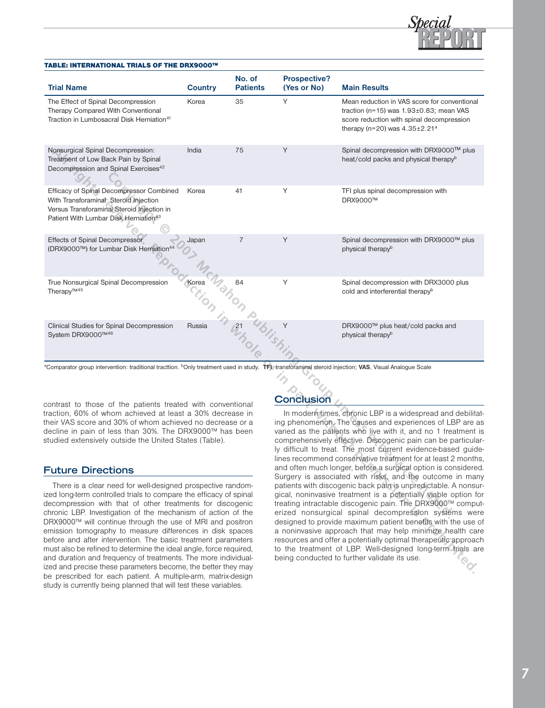

## TABLE: INTERNATIONAL TRIALS OF THE DRX9000™

| <b>Trial Name</b>                                                                                                                                                                                                                                                                                                                                                                                                                                                                                                                                                                                                                                                    | <b>Country</b> | No. of<br><b>Patients</b> | <b>Prospective?</b><br>(Yes or No)                                                                                                                                                                                                                                                                                                                                                                                                                                                                                                                                                                                                                                                                                                                                                                                                                                                                                                                                                                                                                                                               | <b>Main Results</b>                                                                                                                                                                          |
|----------------------------------------------------------------------------------------------------------------------------------------------------------------------------------------------------------------------------------------------------------------------------------------------------------------------------------------------------------------------------------------------------------------------------------------------------------------------------------------------------------------------------------------------------------------------------------------------------------------------------------------------------------------------|----------------|---------------------------|--------------------------------------------------------------------------------------------------------------------------------------------------------------------------------------------------------------------------------------------------------------------------------------------------------------------------------------------------------------------------------------------------------------------------------------------------------------------------------------------------------------------------------------------------------------------------------------------------------------------------------------------------------------------------------------------------------------------------------------------------------------------------------------------------------------------------------------------------------------------------------------------------------------------------------------------------------------------------------------------------------------------------------------------------------------------------------------------------|----------------------------------------------------------------------------------------------------------------------------------------------------------------------------------------------|
| The Effect of Spinal Decompression<br>Therapy Compared With Conventional<br>Traction in Lumbosacral Disk Herniation <sup>41</sup>                                                                                                                                                                                                                                                                                                                                                                                                                                                                                                                                    | Korea          | 35                        | Υ                                                                                                                                                                                                                                                                                                                                                                                                                                                                                                                                                                                                                                                                                                                                                                                                                                                                                                                                                                                                                                                                                                | Mean reduction in VAS score for conventional<br>traction (n=15) was $1.93\pm0.83$ ; mean VAS<br>score reduction with spinal decompression<br>therapy (n=20) was $4.35 \pm 2.21$ <sup>a</sup> |
| Nonsurgical Spinal Decompression:<br>Treatment of Low Back Pain by Spinal<br>Decompression and Spinal Exercises <sup>42</sup>                                                                                                                                                                                                                                                                                                                                                                                                                                                                                                                                        | India          | 75                        | Y                                                                                                                                                                                                                                                                                                                                                                                                                                                                                                                                                                                                                                                                                                                                                                                                                                                                                                                                                                                                                                                                                                | Spinal decompression with DRX9000™ plus<br>heat/cold packs and physical therapy <sup>b</sup>                                                                                                 |
| Efficacy of Spinal Decompressor Combined<br>With Transforaminal Steroid Injection<br>Versus Transforaminal Steroid Injection in<br>Patient With Lumbar Disk Herniation <sup>43</sup>                                                                                                                                                                                                                                                                                                                                                                                                                                                                                 | Korea          | 41                        | Υ                                                                                                                                                                                                                                                                                                                                                                                                                                                                                                                                                                                                                                                                                                                                                                                                                                                                                                                                                                                                                                                                                                | TFI plus spinal decompression with<br><b>DRX9000™</b>                                                                                                                                        |
| <b>Effects of Spinal Decompressor</b><br>(DRX9000™) for Lumbar Disk Herniation <sup>44</sup>                                                                                                                                                                                                                                                                                                                                                                                                                                                                                                                                                                         | Japan          | $\overline{7}$            | Y                                                                                                                                                                                                                                                                                                                                                                                                                                                                                                                                                                                                                                                                                                                                                                                                                                                                                                                                                                                                                                                                                                | Spinal decompression with DRX9000™ plus<br>physical therapy <sup>b</sup>                                                                                                                     |
| True Nonsurgical Spinal Decompression<br>Therapy <sup>™45</sup>                                                                                                                                                                                                                                                                                                                                                                                                                                                                                                                                                                                                      | Korea          | 84                        | Υ                                                                                                                                                                                                                                                                                                                                                                                                                                                                                                                                                                                                                                                                                                                                                                                                                                                                                                                                                                                                                                                                                                | Spinal decompression with DRX3000 plus<br>cold and interferential therapy <sup>b</sup>                                                                                                       |
| Clinical Studies for Spinal Decompression<br>System DRX9000™46                                                                                                                                                                                                                                                                                                                                                                                                                                                                                                                                                                                                       | Russia         | 21                        | Y                                                                                                                                                                                                                                                                                                                                                                                                                                                                                                                                                                                                                                                                                                                                                                                                                                                                                                                                                                                                                                                                                                | DRX9000™ plus heat/cold packs and<br>physical therapy <sup>b</sup>                                                                                                                           |
| <sup>a</sup> Comparator group intervention: traditional tracttion. <sup>b</sup> Only treatment used in study. TFI, transforaminal steroid injection; VAS, Visual Analogue Scale                                                                                                                                                                                                                                                                                                                                                                                                                                                                                      |                |                           |                                                                                                                                                                                                                                                                                                                                                                                                                                                                                                                                                                                                                                                                                                                                                                                                                                                                                                                                                                                                                                                                                                  |                                                                                                                                                                                              |
| <b>Conclusion</b><br>contrast to those of the patients treated with conventional                                                                                                                                                                                                                                                                                                                                                                                                                                                                                                                                                                                     |                |                           |                                                                                                                                                                                                                                                                                                                                                                                                                                                                                                                                                                                                                                                                                                                                                                                                                                                                                                                                                                                                                                                                                                  |                                                                                                                                                                                              |
| traction, 60% of whom achieved at least a 30% decrease in<br>their VAS score and 30% of whom achieved no decrease or a<br>decline in pain of less than 30%. The DRX9000™ has been<br>studied extensively outside the United States (Table).<br><b>Future Directions</b>                                                                                                                                                                                                                                                                                                                                                                                              |                |                           | In modern times, chronic LBP is a widespread and debilitated<br>ing phenomenon. The causes and experiences of LBP are as<br>varied as the patients who live with it, and no 1 treatment is<br>comprehensively effective. Discogenic pain can be particular<br>ly difficult to treat. The most current evidence-based guide<br>lines recommend conservative treatment for at least 2 months<br>and often much longer, before a surgical option is considered<br>Surgery is associated with risks, and the outcome in many<br>patients with discogenic back pain is unpredictable. A nonsur-<br>gical, noninvasive treatment is a potentially viable option for<br>treating intractable discogenic pain. The DRX9000™ comput<br>erized nonsurgical spinal decompression systems were<br>designed to provide maximum patient benefits with the use of<br>a noninvasive approach that may help minimize health care<br>resources and offer a potentially optimal therapeutic approach<br>to the treatment of LBP. Well-designed long-term trials are<br>being conducted to further validate its use. |                                                                                                                                                                                              |
|                                                                                                                                                                                                                                                                                                                                                                                                                                                                                                                                                                                                                                                                      |                |                           |                                                                                                                                                                                                                                                                                                                                                                                                                                                                                                                                                                                                                                                                                                                                                                                                                                                                                                                                                                                                                                                                                                  |                                                                                                                                                                                              |
| There is a clear need for well-designed prospective random-<br>ized long-term controlled trials to compare the efficacy of spinal<br>decompression with that of other treatments for discogenic<br>chronic LBP. Investigation of the mechanism of action of the<br>DRX9000™ will continue through the use of MRI and positron<br>emission tomography to measure differences in disk spaces<br>before and after intervention. The basic treatment parameters<br>must also be refined to determine the ideal angle, force required,<br>and duration and frequency of treatments. The more individual-<br>ized and precise these parameters become, the better they may |                |                           |                                                                                                                                                                                                                                                                                                                                                                                                                                                                                                                                                                                                                                                                                                                                                                                                                                                                                                                                                                                                                                                                                                  |                                                                                                                                                                                              |

## **Future Directions**

There is a clear need for well-designed prospective randomized long-term controlled trials to compare the efficacy of spinal decompression with that of other treatments for discogenic chronic LBP. Investigation of the mechanism of action of the DRX9000™ will continue through the use of MRI and positron emission tomography to measure differences in disk spaces before and after intervention. The basic treatment parameters must also be refined to determine the ideal angle, force required, and duration and frequency of treatments. The more individualized and precise these parameters become, the better they may be prescribed for each patient. A multiple-arm, matrix-design study is currently being planned that will test these variables.

# **Conclusion**